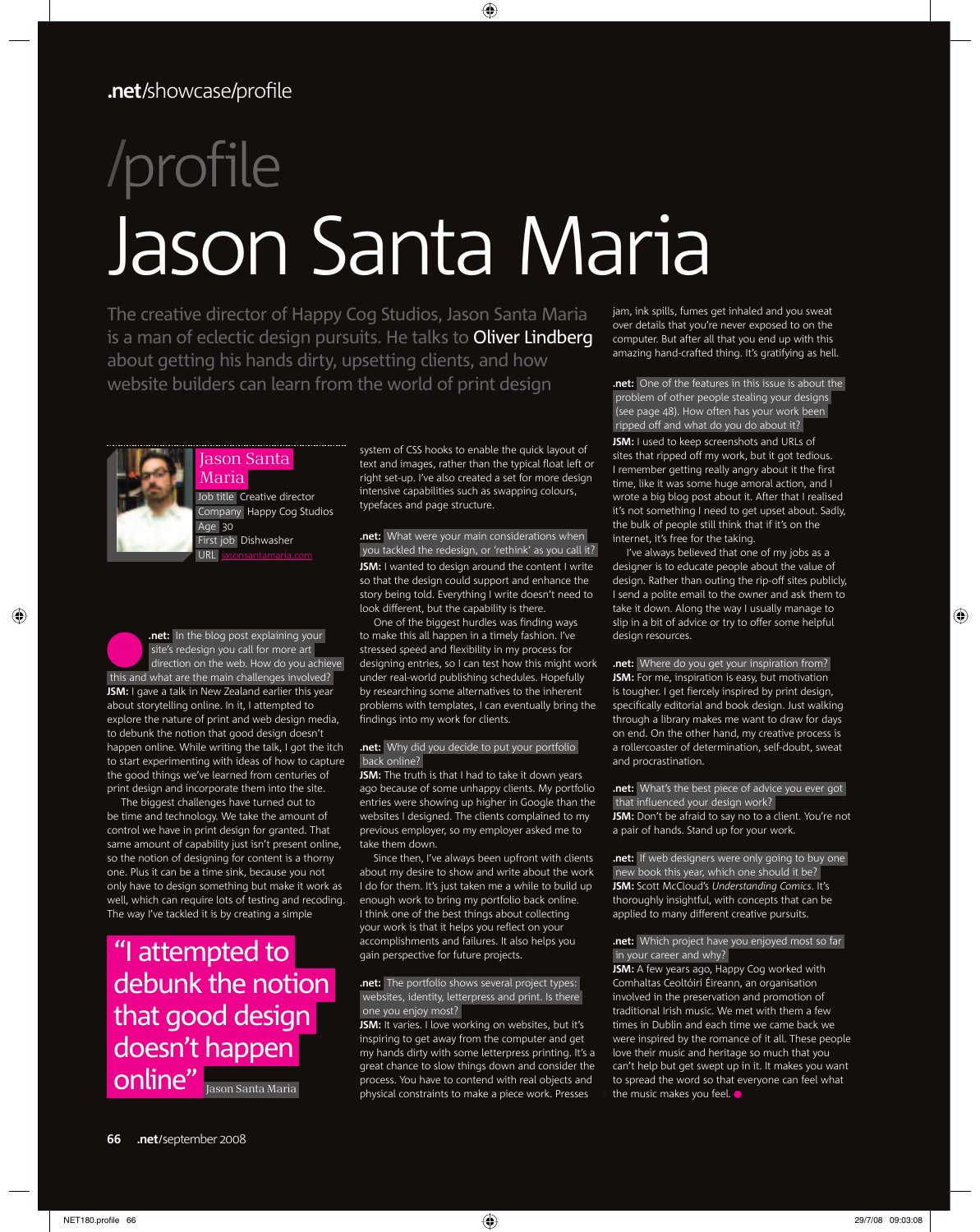# profile Jason Santa Maria

The creative director of Happy Cog Studios, Jason Santa Maria is a man of eclectic design pursuits. He talks to Oliver Lindberg about getting his hands dirty, upsetting clients, and how website builders can learn from the world of print design

#### Jason Santa Maria



Job title Creative director Company Happy Cog Studios Age 30 First job Dishwasher  $URI$ 

**.net:** In the blog post explaining your site's redesign you call for more art direction on the web. How do you achieve this and what are the main challenges involved? **JSM:** I gave a talk in New Zealand earlier this year about storytelling online. In it, I attempted to explore the nature of print and web design media, to debunk the notion that good design doesn't happen online. While writing the talk, I got the itch to start experimenting with ideas of how to capture the good things we've learned from centuries of print design and incorporate them into the site.

The biggest challenges have turned out to be time and technology. We take the amount of control we have in print design for granted. That same amount of capability just isn't present online, so the notion of designing for content is a thorny one. Plus it can be a time sink, because you not only have to design something but make it work as well, which can require lots of testing and recoding. The way I've tackled it is by creating a simple

## "I attempted to debunk the notion that good design doesn't happen online" Jason Santa Maria

system of CSS hooks to enable the quick layout of text and images, rather than the typical float left or right set-up. I've also created a set for more design intensive capabilities such as swapping colours, typefaces and page structure.

◈

#### **.net:** What were your main considerations when you tackled the redesign, or 'rethink' as you call it? **JSM:** I wanted to design around the content I write so that the design could support and enhance the

story being told. Everything I write doesn't need to look different, but the capability is there. One of the biggest hurdles was finding ways to make this all happen in a timely fashion. I've

stressed speed and flexibility in my process for designing entries, so I can test how this might work under real-world publishing schedules. Hopefully by researching some alternatives to the inherent problems with templates, I can eventually bring the findings into my work for clients.

#### **.net:** Why did you decide to put your portfolio back online?

**JSM:** The truth is that I had to take it down years ago because of some unhappy clients. My portfolio entries were showing up higher in Google than the websites I designed. The clients complained to my previous employer, so my employer asked me to take them down.

Since then, I've always been upfront with clients about my desire to show and write about the work I do for them. It's just taken me a while to build up enough work to bring my portfolio back online. I think one of the best things about collecting your work is that it helps you reflect on your accomplishments and failures. It also helps you gain perspective for future projects.

#### **.net:** The portfolio shows several project types: websites, identity, letterpress and print. Is there one you enjoy most?

**JSM:** It varies. I love working on websites, but it's inspiring to get away from the computer and get my hands dirty with some letterpress printing. It's a great chance to slow things down and consider the process. You have to contend with real objects and physical constraints to make a piece work. Presses

jam, ink spills, fumes get inhaled and you sweat over details that you're never exposed to on the computer. But after all that you end up with this amazing hand-crafted thing. It's gratifying as hell.

**.net:** One of the features in this issue is about the problem of other people stealing your designs (see page 48). How often has your work been ripped off and what do you do about it? **JSM:** I used to keep screenshots and URLs of sites that ripped off my work, but it got tedious. I remember getting really angry about it the first time, like it was some huge amoral action, and I wrote a big blog post about it. After that I realised it's not something I need to get upset about. Sadly, the bulk of people still think that if it's on the internet, it's free for the taking.

I've always believed that one of my jobs as a designer is to educate people about the value of design. Rather than outing the rip-off sites publicly, I send a polite email to the owner and ask them to take it down. Along the way I usually manage to slip in a bit of advice or try to offer some helpful desian resources.

#### **.net:** Where do you get your inspiration from?

**JSM:** For me, inspiration is easy, but motivation is tougher. I get fiercely inspired by print design, specifically editorial and book design. Just walking through a library makes me want to draw for days on end. On the other hand, my creative process is a rollercoaster of determination, self-doubt, sweat and procrastination.

**.net:** What's the best piece of advice you ever got that influenced your design work?

JSM: Don't be afraid to say no to a client. You're not a pair of hands. Stand up for your work.

**.net:** If web designers were only going to buy one new book this year, which one should it be? **JSM:** Scott McCloud's *Understanding Comics*. It's thoroughly insightful, with concepts that can be applied to many different creative pursuits.

#### **.net:** Which project have you enjoyed most so far in your career and why?

**JSM:** A few years ago, Happy Cog worked with Comhaltas Ceoltóirí Éireann, an organisation involved in the preservation and promotion of traditional Irish music. We met with them a few times in Dublin and each time we came back we were inspired by the romance of it all. These people love their music and heritage so much that you can't help but get swept up in it. It makes you want to spread the word so that everyone can feel what the music makes you feel.  $\bullet$ 

⊕